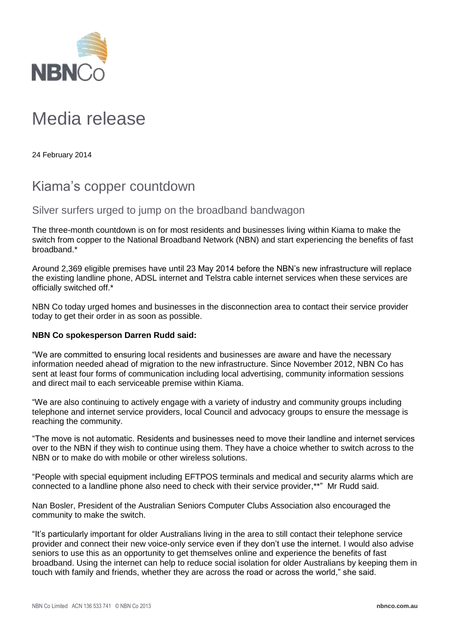

## Media release

24 February 2014

## Kiama's copper countdown

Silver surfers urged to jump on the broadband bandwagon

The three-month countdown is on for most residents and businesses living within Kiama to make the switch from copper to the National Broadband Network (NBN) and start experiencing the benefits of fast broadband.\*

Around 2,369 eligible premises have until 23 May 2014 before the NBN's new infrastructure will replace the existing landline phone, ADSL internet and Telstra cable internet services when these services are officially switched off.\*

NBN Co today urged homes and businesses in the disconnection area to contact their service provider today to get their order in as soon as possible.

## **NBN Co spokesperson Darren Rudd said:**

"We are committed to ensuring local residents and businesses are aware and have the necessary information needed ahead of migration to the new infrastructure. Since November 2012, NBN Co has sent at least four forms of communication including local advertising, community information sessions and direct mail to each serviceable premise within Kiama.

"We are also continuing to actively engage with a variety of industry and community groups including telephone and internet service providers, local Council and advocacy groups to ensure the message is reaching the community.

"The move is not automatic. Residents and businesses need to move their landline and internet services over to the NBN if they wish to continue using them. They have a choice whether to switch across to the NBN or to make do with mobile or other wireless solutions.

"People with special equipment including EFTPOS terminals and medical and security alarms which are connected to a landline phone also need to check with their service provider,\*\*" Mr Rudd said.

Nan Bosler, President of the Australian Seniors Computer Clubs Association also encouraged the community to make the switch.

"It's particularly important for older Australians living in the area to still contact their telephone service provider and connect their new voice-only service even if they don't use the internet. I would also advise seniors to use this as an opportunity to get themselves online and experience the benefits of fast broadband. Using the internet can help to reduce social isolation for older Australians by keeping them in touch with family and friends, whether they are across the road or across the world," she said.